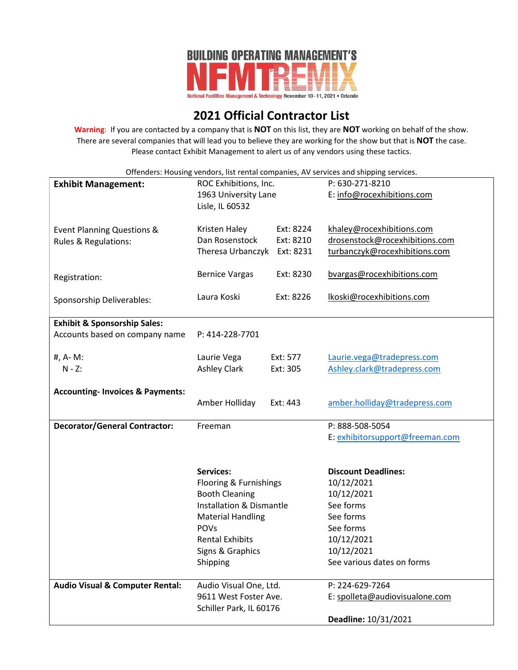

## **2021 Official Contractor List**

**Warning**: If you are contacted by a company that is **NOT** on this list, they are **NOT** working on behalf of the show. There are several companies that will lead you to believe they are working for the show but that is **NOT** the case. Please contact Exhibit Management to alert us of any vendors using these tactics.

Offenders: Housing vendors, list rental companies, AV services and shipping services.

| <b>Exhibit Management:</b>                  | ROC Exhibitions, Inc.<br>1963 University Lane                                          |           | P: 630-271-8210<br>E: info@rocexhibitions.com |
|---------------------------------------------|----------------------------------------------------------------------------------------|-----------|-----------------------------------------------|
|                                             | Lisle, IL 60532                                                                        |           |                                               |
| Event Planning Questions &                  | Kristen Haley                                                                          | Ext: 8224 | khaley@rocexhibitions.com                     |
| Rules & Regulations:                        | Dan Rosenstock                                                                         | Ext: 8210 | drosenstock@rocexhibitions.com                |
|                                             | Theresa Urbanczyk                                                                      | Ext: 8231 | turbanczyk@rocexhibitions.com                 |
| Registration:                               | <b>Bernice Vargas</b>                                                                  | Ext: 8230 | bvargas@rocexhibitions.com                    |
| Sponsorship Deliverables:                   | Laura Koski                                                                            | Ext: 8226 | lkoski@rocexhibitions.com                     |
| <b>Exhibit &amp; Sponsorship Sales:</b>     |                                                                                        |           |                                               |
| Accounts based on company name              | P: 414-228-7701                                                                        |           |                                               |
| #, A-M:                                     | Laurie Vega                                                                            | Ext: 577  | Laurie.vega@tradepress.com                    |
| $N - Z$ :                                   | <b>Ashley Clark</b>                                                                    | Ext: 305  | Ashley.clark@tradepress.com                   |
|                                             |                                                                                        |           |                                               |
| <b>Accounting- Invoices &amp; Payments:</b> |                                                                                        |           |                                               |
|                                             | Amber Holliday                                                                         | Ext: 443  | amber.holliday@tradepress.com                 |
| <b>Decorator/General Contractor:</b>        | Freeman                                                                                |           | P: 888-508-5054                               |
|                                             |                                                                                        |           | E: exhibitorsupport@freeman.com               |
|                                             |                                                                                        |           |                                               |
|                                             | <b>Services:</b>                                                                       |           | <b>Discount Deadlines:</b>                    |
|                                             | Flooring & Furnishings<br><b>Booth Cleaning</b><br><b>Installation &amp; Dismantle</b> |           | 10/12/2021                                    |
|                                             |                                                                                        |           | 10/12/2021                                    |
|                                             |                                                                                        |           | See forms                                     |
|                                             | <b>Material Handling</b><br><b>POVs</b>                                                |           | See forms<br>See forms                        |
|                                             | <b>Rental Exhibits</b>                                                                 |           | 10/12/2021                                    |
|                                             | Signs & Graphics                                                                       |           | 10/12/2021                                    |
|                                             | Shipping                                                                               |           | See various dates on forms                    |
|                                             |                                                                                        |           |                                               |
| <b>Audio Visual &amp; Computer Rental:</b>  | Audio Visual One, Ltd.                                                                 |           | P: 224-629-7264                               |
|                                             | 9611 West Foster Ave.                                                                  |           | E: spolleta@audiovisualone.com                |
|                                             | Schiller Park, IL 60176                                                                |           |                                               |
|                                             |                                                                                        |           | Deadline: 10/31/2021                          |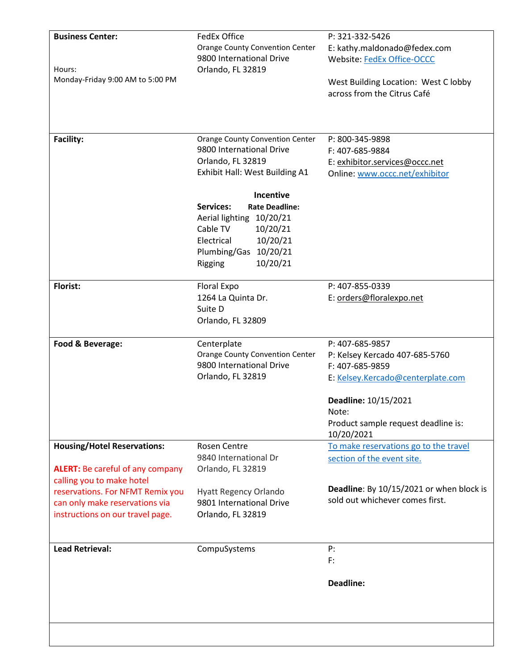| <b>Business Center:</b>                 | <b>FedEx Office</b>                       | P: 321-332-5426                                   |
|-----------------------------------------|-------------------------------------------|---------------------------------------------------|
|                                         | <b>Orange County Convention Center</b>    | E: kathy.maldonado@fedex.com                      |
|                                         | 9800 International Drive                  | <b>Website: FedEx Office-OCCC</b>                 |
| Hours:                                  | Orlando, FL 32819                         |                                                   |
| Monday-Friday 9:00 AM to 5:00 PM        |                                           | West Building Location: West C lobby              |
|                                         |                                           | across from the Citrus Café                       |
|                                         |                                           |                                                   |
|                                         |                                           |                                                   |
|                                         |                                           |                                                   |
| <b>Facility:</b>                        | <b>Orange County Convention Center</b>    | P: 800-345-9898                                   |
|                                         | 9800 International Drive                  | F: 407-685-9884                                   |
|                                         | Orlando, FL 32819                         |                                                   |
|                                         |                                           | E: exhibitor.services@occc.net                    |
|                                         | Exhibit Hall: West Building A1            | Online: www.occc.net/exhibitor                    |
|                                         | Incentive                                 |                                                   |
|                                         | <b>Services:</b><br><b>Rate Deadline:</b> |                                                   |
|                                         | Aerial lighting 10/20/21                  |                                                   |
|                                         | Cable TV<br>10/20/21                      |                                                   |
|                                         |                                           |                                                   |
|                                         | 10/20/21<br>Electrical                    |                                                   |
|                                         | Plumbing/Gas 10/20/21                     |                                                   |
|                                         | 10/20/21<br>Rigging                       |                                                   |
|                                         |                                           |                                                   |
| Florist:                                | Floral Expo                               | P: 407-855-0339                                   |
|                                         | 1264 La Quinta Dr.                        | E: orders@floralexpo.net                          |
|                                         | Suite D                                   |                                                   |
|                                         | Orlando, FL 32809                         |                                                   |
|                                         |                                           |                                                   |
| Food & Beverage:                        | Centerplate                               | P: 407-685-9857                                   |
|                                         | <b>Orange County Convention Center</b>    | P: Kelsey Kercado 407-685-5760                    |
|                                         | 9800 International Drive                  | F: 407-685-9859                                   |
|                                         | Orlando, FL 32819                         | E: Kelsey.Kercado@centerplate.com                 |
|                                         |                                           | Deadline: 10/15/2021                              |
|                                         |                                           | Note:                                             |
|                                         |                                           |                                                   |
|                                         |                                           | Product sample request deadline is:<br>10/20/2021 |
|                                         |                                           |                                                   |
| <b>Housing/Hotel Reservations:</b>      | Rosen Centre                              | To make reservations go to the travel             |
|                                         | 9840 International Dr                     | section of the event site.                        |
| <b>ALERT:</b> Be careful of any company | Orlando, FL 32819                         |                                                   |
| calling you to make hotel               |                                           |                                                   |
| reservations. For NFMT Remix you        | <b>Hyatt Regency Orlando</b>              | Deadline: By 10/15/2021 or when block is          |
| can only make reservations via          | 9801 International Drive                  | sold out whichever comes first.                   |
| instructions on our travel page.        | Orlando, FL 32819                         |                                                   |
|                                         |                                           |                                                   |
|                                         |                                           |                                                   |
| <b>Lead Retrieval:</b>                  | CompuSystems                              | P:<br>F:                                          |
|                                         |                                           |                                                   |
|                                         |                                           | Deadline:                                         |
|                                         |                                           |                                                   |
|                                         |                                           |                                                   |
|                                         |                                           |                                                   |
|                                         |                                           |                                                   |
|                                         |                                           |                                                   |